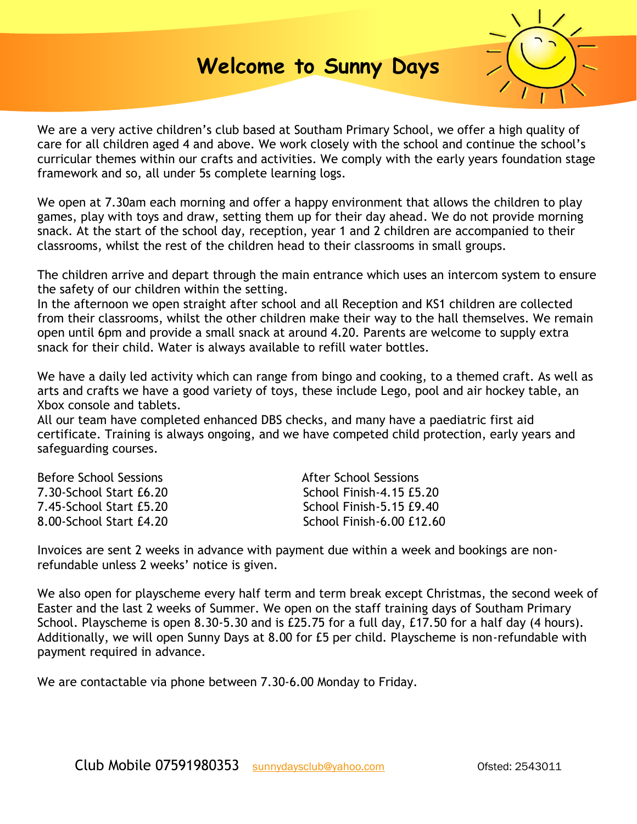# **Welcome to Sunny Days**



We are a very active children's club based at Southam Primary School, we offer a high quality of care for all children aged 4 and above. We work closely with the school and continue the school's curricular themes within our crafts and activities. We comply with the early years foundation stage framework and so, all under 5s complete learning logs.

We open at 7.30am each morning and offer a happy environment that allows the children to play games, play with toys and draw, setting them up for their day ahead. We do not provide morning snack. At the start of the school day, reception, year 1 and 2 children are accompanied to their classrooms, whilst the rest of the children head to their classrooms in small groups.

The children arrive and depart through the main entrance which uses an intercom system to ensure the safety of our children within the setting.

In the afternoon we open straight after school and all Reception and KS1 children are collected from their classrooms, whilst the other children make their way to the hall themselves. We remain open until 6pm and provide a small snack at around 4.20. Parents are welcome to supply extra snack for their child. Water is always available to refill water bottles.

We have a daily led activity which can range from bingo and cooking, to a themed craft. As well as arts and crafts we have a good variety of toys, these include Lego, pool and air hockey table, an Xbox console and tablets.

All our team have completed enhanced DBS checks, and many have a paediatric first aid certificate. Training is always ongoing, and we have competed child protection, early years and safeguarding courses.

| Before School Sessions  | After School Sessions     |
|-------------------------|---------------------------|
| 7.30-School Start £6.20 | School Finish-4.15 £5.20  |
| 7.45-School Start £5.20 | School Finish-5.15 £9.40  |
| 8.00-School Start £4.20 | School Finish-6.00 £12.60 |

Invoices are sent 2 weeks in advance with payment due within a week and bookings are nonrefundable unless 2 weeks' notice is given.

We also open for playscheme every half term and term break except Christmas, the second week of Easter and the last 2 weeks of Summer. We open on the staff training days of Southam Primary School. Playscheme is open 8.30-5.30 and is £25.75 for a full day, £17.50 for a half day (4 hours). Additionally, we will open Sunny Days at 8.00 for £5 per child. Playscheme is non-refundable with payment required in advance.

We are contactable via phone between 7.30-6.00 Monday to Friday.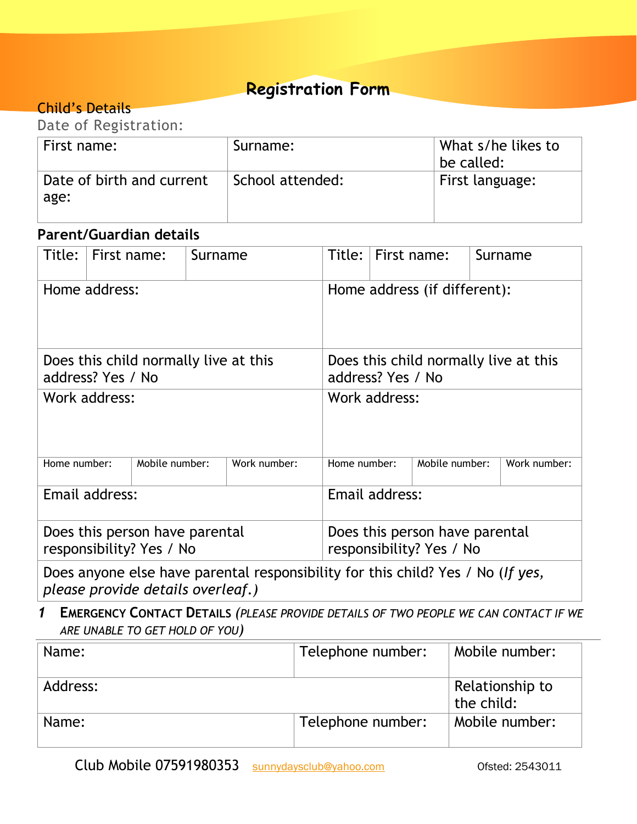## **Registration Form**

### Child's Details

| Date of Registration:             |                  |                                  |  |
|-----------------------------------|------------------|----------------------------------|--|
| First name:                       | Surname:         | What s/he likes to<br>be called: |  |
| Date of birth and current<br>age: | School attended: | First language:                  |  |

### **Parent/Guardian details**

| Title:                                                     | First name: | Surname                                                    |                                                                                         | Title:       | First name: |                |  | Surname      |
|------------------------------------------------------------|-------------|------------------------------------------------------------|-----------------------------------------------------------------------------------------|--------------|-------------|----------------|--|--------------|
| Home address:                                              |             |                                                            | Home address (if different):                                                            |              |             |                |  |              |
| Does this child normally live at this<br>address? Yes / No |             | Does this child normally live at this<br>address? Yes / No |                                                                                         |              |             |                |  |              |
| Work address:                                              |             | Work address:                                              |                                                                                         |              |             |                |  |              |
| Home number:                                               |             | Mobile number:                                             | Work number:                                                                            | Home number: |             | Mobile number: |  | Work number: |
| Email address:                                             |             | Email address:                                             |                                                                                         |              |             |                |  |              |
| Does this person have parental<br>responsibility? Yes / No |             | Does this person have parental<br>responsibility? Yes / No |                                                                                         |              |             |                |  |              |
|                                                            |             |                                                            | Does anyone also have parental responsibility for this shild? Yes $\ell$ No $\ell$ fues |              |             |                |  |              |

Does anyone else have parental responsibility for this child? Yes / No (*If yes, please provide details overleaf.)*

### *1* **EMERGENCY CONTACT DETAILS** *(PLEASE PROVIDE DETAILS OF TWO PEOPLE WE CAN CONTACT IF WE ARE UNABLE TO GET HOLD OF YOU)*

| Name:    | Telephone number: | Mobile number:                |
|----------|-------------------|-------------------------------|
| Address: |                   | Relationship to<br>the child: |
| Name:    | Telephone number: | Mobile number:                |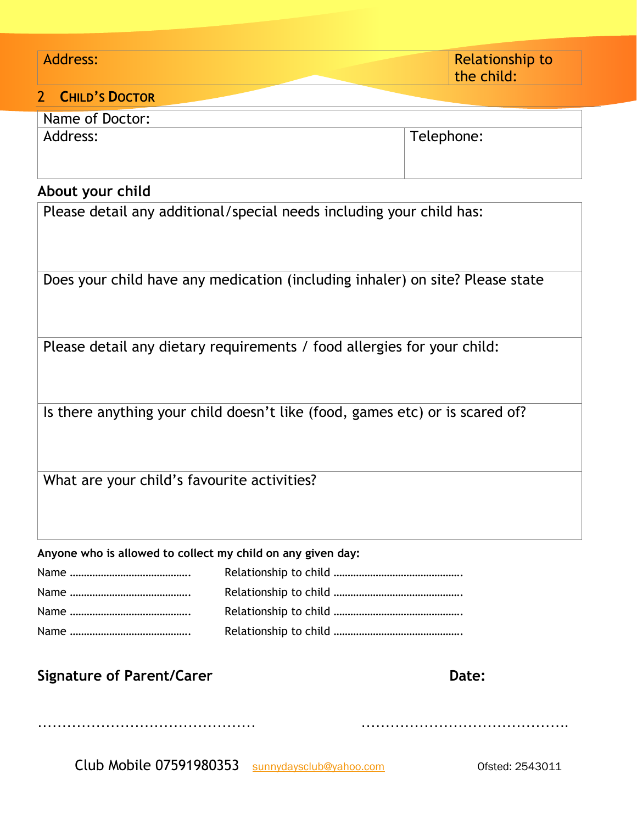| Address:                                                                      | <b>Relationship to</b><br>the child: |  |  |  |
|-------------------------------------------------------------------------------|--------------------------------------|--|--|--|
| <b>CHILD'S DOCTOR</b><br>2 <sup>1</sup>                                       |                                      |  |  |  |
| Name of Doctor:                                                               |                                      |  |  |  |
| Address:                                                                      | Telephone:                           |  |  |  |
| About your child                                                              |                                      |  |  |  |
| Please detail any additional/special needs including your child has:          |                                      |  |  |  |
| Does your child have any medication (including inhaler) on site? Please state |                                      |  |  |  |
| Please detail any dietary requirements / food allergies for your child:       |                                      |  |  |  |
| Is there anything your child doesn't like (food, games etc) or is scared of?  |                                      |  |  |  |
| What are your child's favourite activities?                                   |                                      |  |  |  |

### **Anyone who is allowed to collect my child on any given day:**

……………………………………… …………………………………….

## **Signature of Parent/Carer Date: Date: Date:**

Club Mobile 07591980353 [sunnydaysclub@yahoo.com](mailto:sunnydaysclub@yahoo.com) Ofsted: 2543011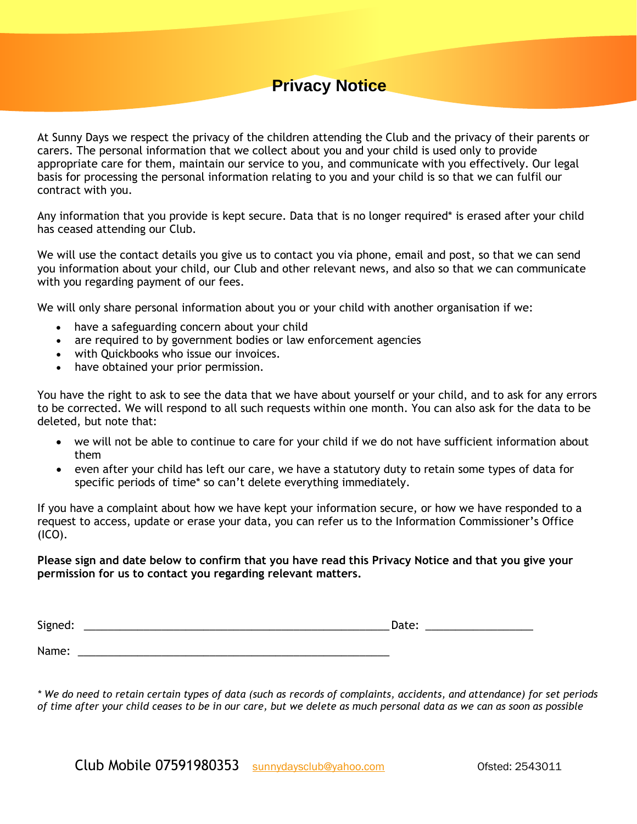## **Privacy Notice**

At Sunny Days we respect the privacy of the children attending the Club and the privacy of their parents or carers. The personal information that we collect about you and your child is used only to provide appropriate care for them, maintain our service to you, and communicate with you effectively. Our legal basis for processing the personal information relating to you and your child is so that we can fulfil our contract with you.

Any information that you provide is kept secure. Data that is no longer required\* is erased after your child has ceased attending our Club.

We will use the contact details you give us to contact you via phone, email and post, so that we can send you information about your child, our Club and other relevant news, and also so that we can communicate with you regarding payment of our fees.

We will only share personal information about you or your child with another organisation if we:

- have a safeguarding concern about your child
- are required to by government bodies or law enforcement agencies
- with Quickbooks who issue our invoices.

Name: <u>with the set of the set of the set of the set of the set of the set of the set of the set of the set of the set of the set of the set of the set of the set of the set of the set of the set of the set of the set of t</u>

have obtained your prior permission.

You have the right to ask to see the data that we have about yourself or your child, and to ask for any errors to be corrected. We will respond to all such requests within one month. You can also ask for the data to be deleted, but note that:

- we will not be able to continue to care for your child if we do not have sufficient information about them
- even after your child has left our care, we have a statutory duty to retain some types of data for specific periods of time\* so can't delete everything immediately.

If you have a complaint about how we have kept your information secure, or how we have responded to a request to access, update or erase your data, you can refer us to the Information Commissioner's Office  $(ICO)$ .

### **Please sign and date below to confirm that you have read this Privacy Notice and that you give your permission for us to contact you regarding relevant matters.**

| . .<br>יי<br>- 1<br>້ວ<br>__ |  |
|------------------------------|--|
|                              |  |

*\* We do need to retain certain types of data (such as records of complaints, accidents, and attendance) for set periods of time after your child ceases to be in our care, but we delete as much personal data as we can as soon as possible*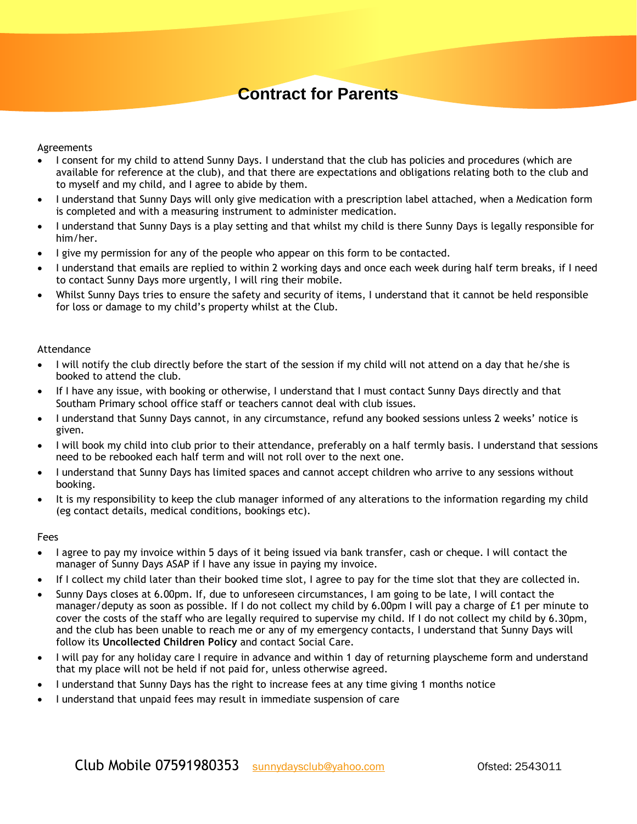## **Contract for Parents**

#### Agreements

- I consent for my child to attend Sunny Days. I understand that the club has policies and procedures (which are available for reference at the club), and that there are expectations and obligations relating both to the club and to myself and my child, and I agree to abide by them.
- I understand that Sunny Days will only give medication with a prescription label attached, when a Medication form is completed and with a measuring instrument to administer medication.
- I understand that Sunny Days is a play setting and that whilst my child is there Sunny Days is legally responsible for him/her.
- I give my permission for any of the people who appear on this form to be contacted.
- I understand that emails are replied to within 2 working days and once each week during half term breaks, if I need to contact Sunny Days more urgently, I will ring their mobile.
- Whilst Sunny Days tries to ensure the safety and security of items, I understand that it cannot be held responsible for loss or damage to my child's property whilst at the Club.

#### Attendance

- I will notify the club directly before the start of the session if my child will not attend on a day that he/she is booked to attend the club.
- If I have any issue, with booking or otherwise, I understand that I must contact Sunny Days directly and that Southam Primary school office staff or teachers cannot deal with club issues.
- I understand that Sunny Days cannot, in any circumstance, refund any booked sessions unless 2 weeks' notice is given.
- I will book my child into club prior to their attendance, preferably on a half termly basis. I understand that sessions need to be rebooked each half term and will not roll over to the next one.
- I understand that Sunny Days has limited spaces and cannot accept children who arrive to any sessions without booking.
- It is my responsibility to keep the club manager informed of any alterations to the information regarding my child (eg contact details, medical conditions, bookings etc).

#### Fees

- I agree to pay my invoice within 5 days of it being issued via bank transfer, cash or cheque. I will contact the manager of Sunny Days ASAP if I have any issue in paying my invoice.
- If I collect my child later than their booked time slot, I agree to pay for the time slot that they are collected in.
- Sunny Days closes at 6.00pm. If, due to unforeseen circumstances, I am going to be late, I will contact the manager/deputy as soon as possible. If I do not collect my child by 6.00pm I will pay a charge of £1 per minute to cover the costs of the staff who are legally required to supervise my child. If I do not collect my child by 6.30pm, and the club has been unable to reach me or any of my emergency contacts, I understand that Sunny Days will follow its **Uncollected Children Policy** and contact Social Care.
- I will pay for any holiday care I require in advance and within 1 day of returning playscheme form and understand that my place will not be held if not paid for, unless otherwise agreed.
- I understand that Sunny Days has the right to increase fees at any time giving 1 months notice
- I understand that unpaid fees may result in immediate suspension of care